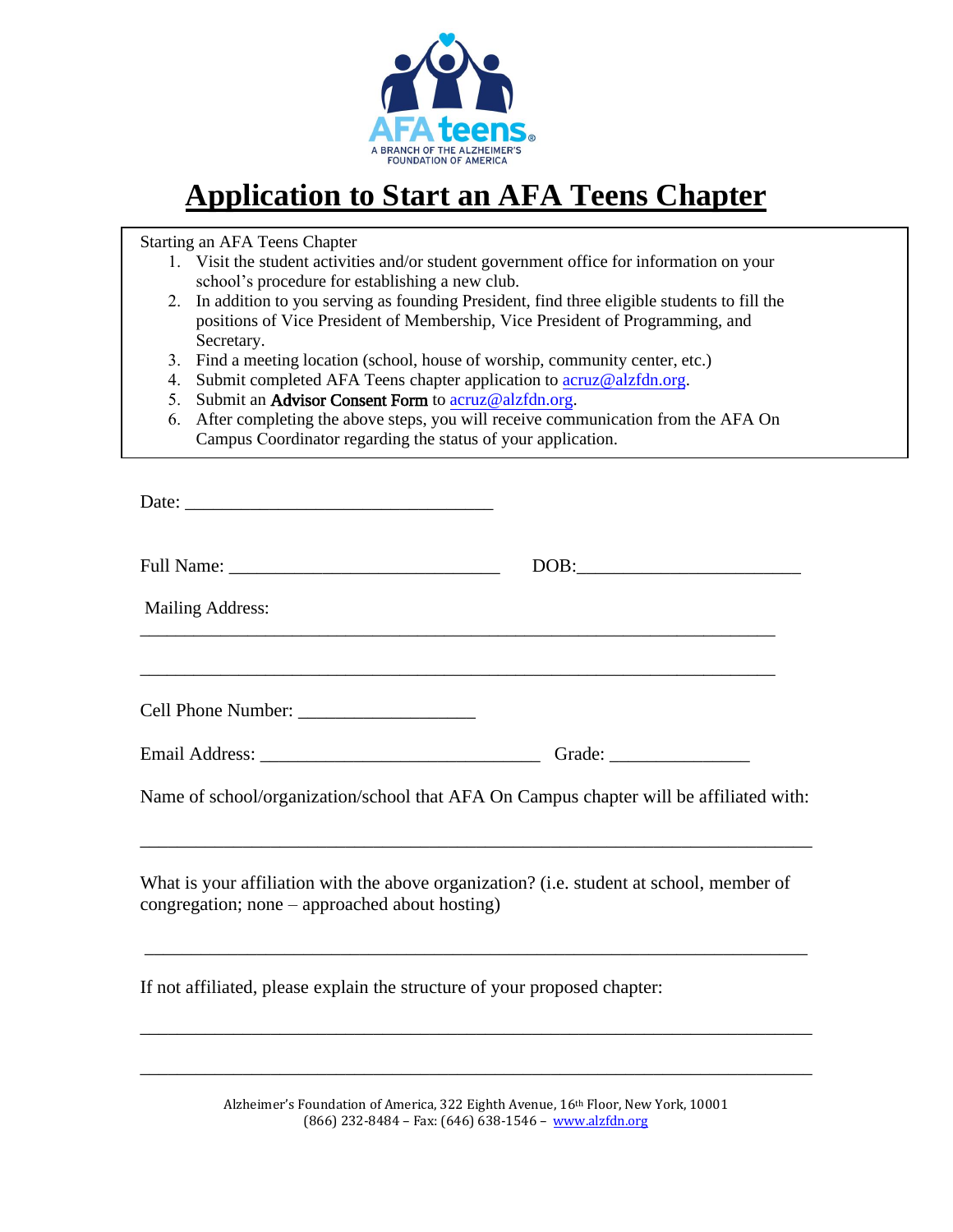

# **Application to Start an AFA Teens Chapter**

Starting an AFA Teens Chapter

- 1. Visit the student activities and/or student government office for information on your school's procedure for establishing a new club.
- 2. In addition to you serving as founding President, find three eligible students to fill the positions of Vice President of Membership, Vice President of Programming, and Secretary.
- 3. Find a meeting location (school, house of worship, community center, etc.)
- 4. Submit completed AFA Teens chapter application to [acruz@alzfdn.org.](mailto:acruz@alzfdn.org)
- 5. Submit an Advisor Consent Form to [acruz@alzfdn.org.](mailto:acruz@alzfdn.org)
- 6. After completing the above steps, you will receive communication from the AFA On Campus Coordinator regarding the status of your application.

| Date:                                                                                                                                      |                                                                                        |
|--------------------------------------------------------------------------------------------------------------------------------------------|----------------------------------------------------------------------------------------|
|                                                                                                                                            |                                                                                        |
| <b>Mailing Address:</b>                                                                                                                    |                                                                                        |
|                                                                                                                                            |                                                                                        |
| Cell Phone Number:                                                                                                                         |                                                                                        |
|                                                                                                                                            |                                                                                        |
|                                                                                                                                            | Name of school/organization/school that AFA On Campus chapter will be affiliated with: |
| What is your affiliation with the above organization? (i.e. student at school, member of<br>congregation; none – approached about hosting) |                                                                                        |
|                                                                                                                                            |                                                                                        |

If not affiliated, please explain the structure of your proposed chapter:

Alzheimer's Foundation of America, 322 Eighth Avenue, 16th Floor, New York, 10001 (866) 232-8484 – Fax: (646) 638-1546 – [www.alzfdn.org](http://www.alzfdn.org/)

\_\_\_\_\_\_\_\_\_\_\_\_\_\_\_\_\_\_\_\_\_\_\_\_\_\_\_\_\_\_\_\_\_\_\_\_\_\_\_\_\_\_\_\_\_\_\_\_\_\_\_\_\_\_\_\_\_\_\_\_\_\_\_\_\_\_\_\_\_\_\_\_

\_\_\_\_\_\_\_\_\_\_\_\_\_\_\_\_\_\_\_\_\_\_\_\_\_\_\_\_\_\_\_\_\_\_\_\_\_\_\_\_\_\_\_\_\_\_\_\_\_\_\_\_\_\_\_\_\_\_\_\_\_\_\_\_\_\_\_\_\_\_\_\_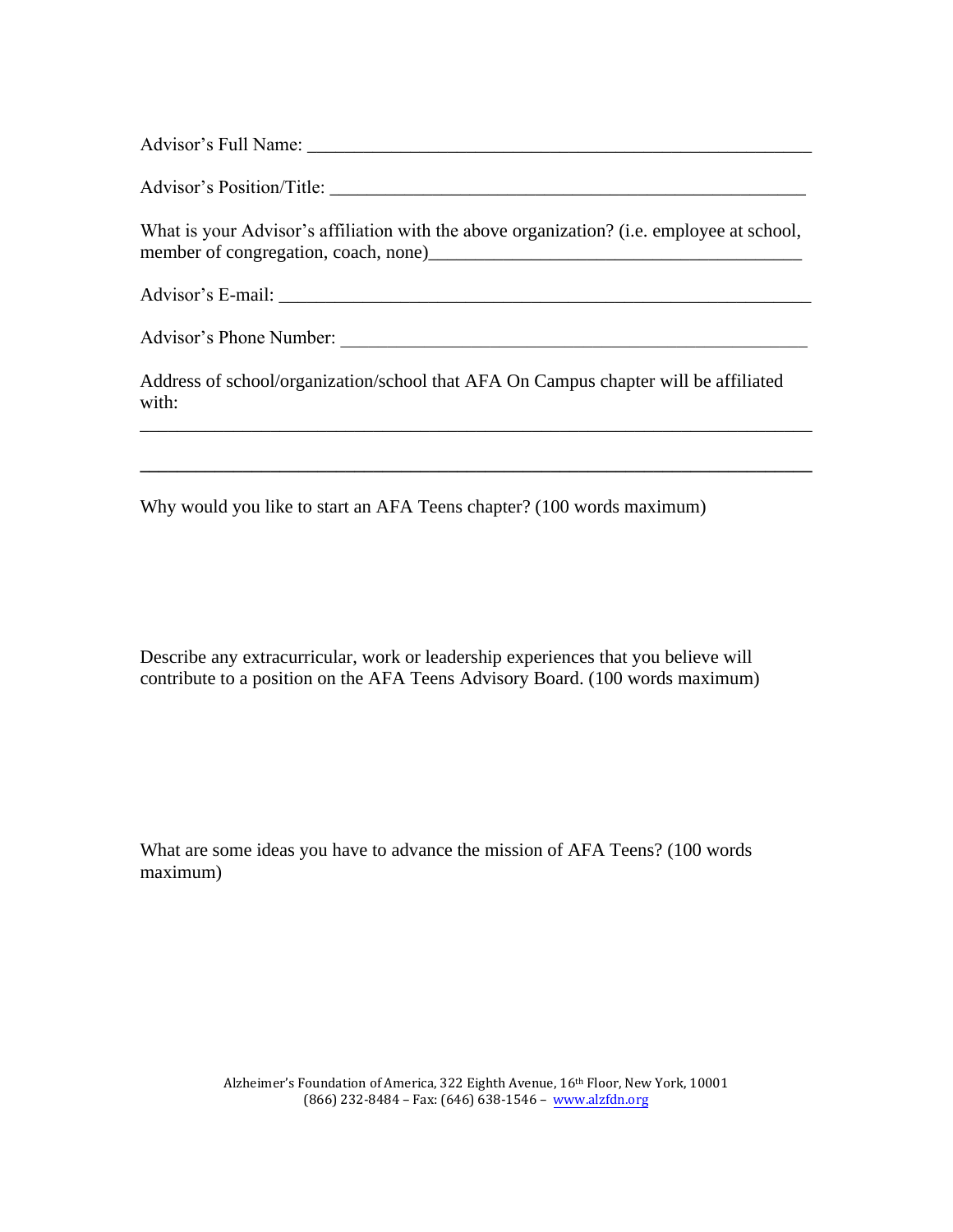Advisor's Full Name: \_\_\_\_\_\_\_\_\_\_\_\_\_\_\_\_\_\_\_\_\_\_\_\_\_\_\_\_\_\_\_\_\_\_\_\_\_\_\_\_\_\_\_\_\_\_\_\_\_\_\_\_\_\_

Advisor's Position/Title:

What is your Advisor's affiliation with the above organization? (i.e. employee at school, member of congregation, coach, none)\_\_\_\_\_\_\_\_\_\_\_\_\_\_\_\_\_\_\_\_\_\_\_\_\_\_\_\_\_\_\_\_\_\_\_\_\_\_\_\_

Advisor's E-mail: \_\_\_\_\_\_\_\_\_\_\_\_\_\_\_\_\_\_\_\_\_\_\_\_\_\_\_\_\_\_\_\_\_\_\_\_\_\_\_\_\_\_\_\_\_\_\_\_\_\_\_\_\_\_\_\_\_

Advisor's Phone Number: \_\_\_\_\_\_\_\_\_\_\_\_\_\_\_\_\_\_\_\_\_\_\_\_\_\_\_\_\_\_\_\_\_\_\_\_\_\_\_\_\_\_\_\_\_\_\_\_\_\_

Address of school/organization/school that AFA On Campus chapter will be affiliated with:

\_\_\_\_\_\_\_\_\_\_\_\_\_\_\_\_\_\_\_\_\_\_\_\_\_\_\_\_\_\_\_\_\_\_\_\_\_\_\_\_\_\_\_\_\_\_\_\_\_\_\_\_\_\_\_\_\_\_\_\_\_\_\_\_\_\_\_\_\_\_\_\_

Why would you like to start an AFA Teens chapter? (100 words maximum)

Describe any extracurricular, work or leadership experiences that you believe will contribute to a position on the AFA Teens Advisory Board. (100 words maximum)

What are some ideas you have to advance the mission of AFA Teens? (100 words maximum)

> Alzheimer's Foundation of America, 322 Eighth Avenue, 16th Floor, New York, 10001 (866) 232-8484 – Fax: (646) 638-1546 – www.alzfdn.org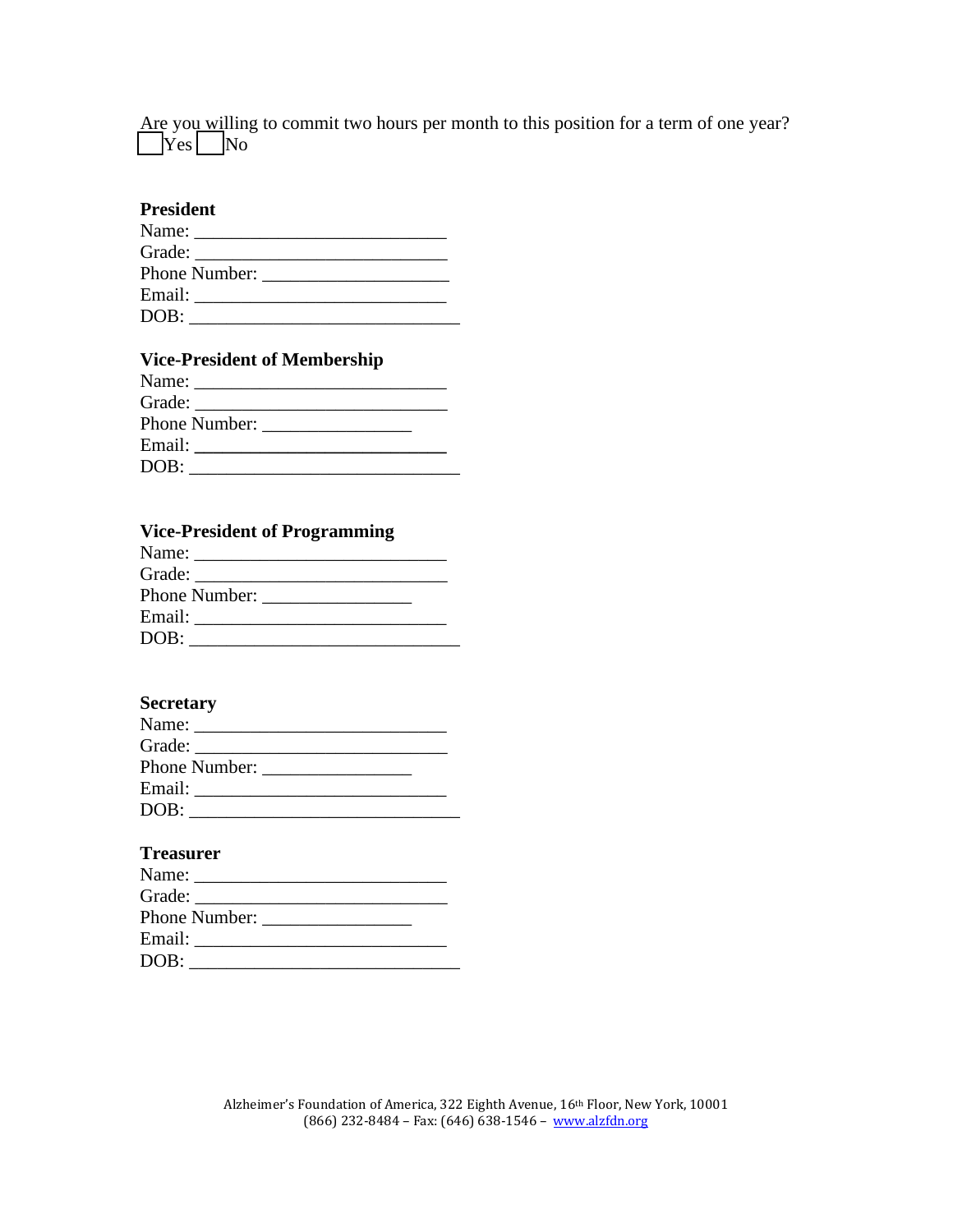Are you willing to commit two hours per month to this position for a term of one year?  $\begin{array}{c|c} \hline \text{Yes} & \text{No} \end{array}$ 

## **President**

|      | Email: Email: |  |  |
|------|---------------|--|--|
| DOB: |               |  |  |
|      |               |  |  |

# **Vice-President of Membership**

| Phone Number: |  |
|---------------|--|
| Email: Email: |  |
| DOB:          |  |

## **Vice-President of Programming**

| Phone Number: |
|---------------|
| Email: Email: |
| DOB:          |

# **Secretary**

|      | Name:         |  |  |
|------|---------------|--|--|
|      |               |  |  |
|      | Phone Number: |  |  |
|      | Email: Email: |  |  |
| DOB: |               |  |  |

## **Treasurer**

| Name:                |  |
|----------------------|--|
|                      |  |
| <b>Phone Number:</b> |  |
| Email:               |  |
| DOB:                 |  |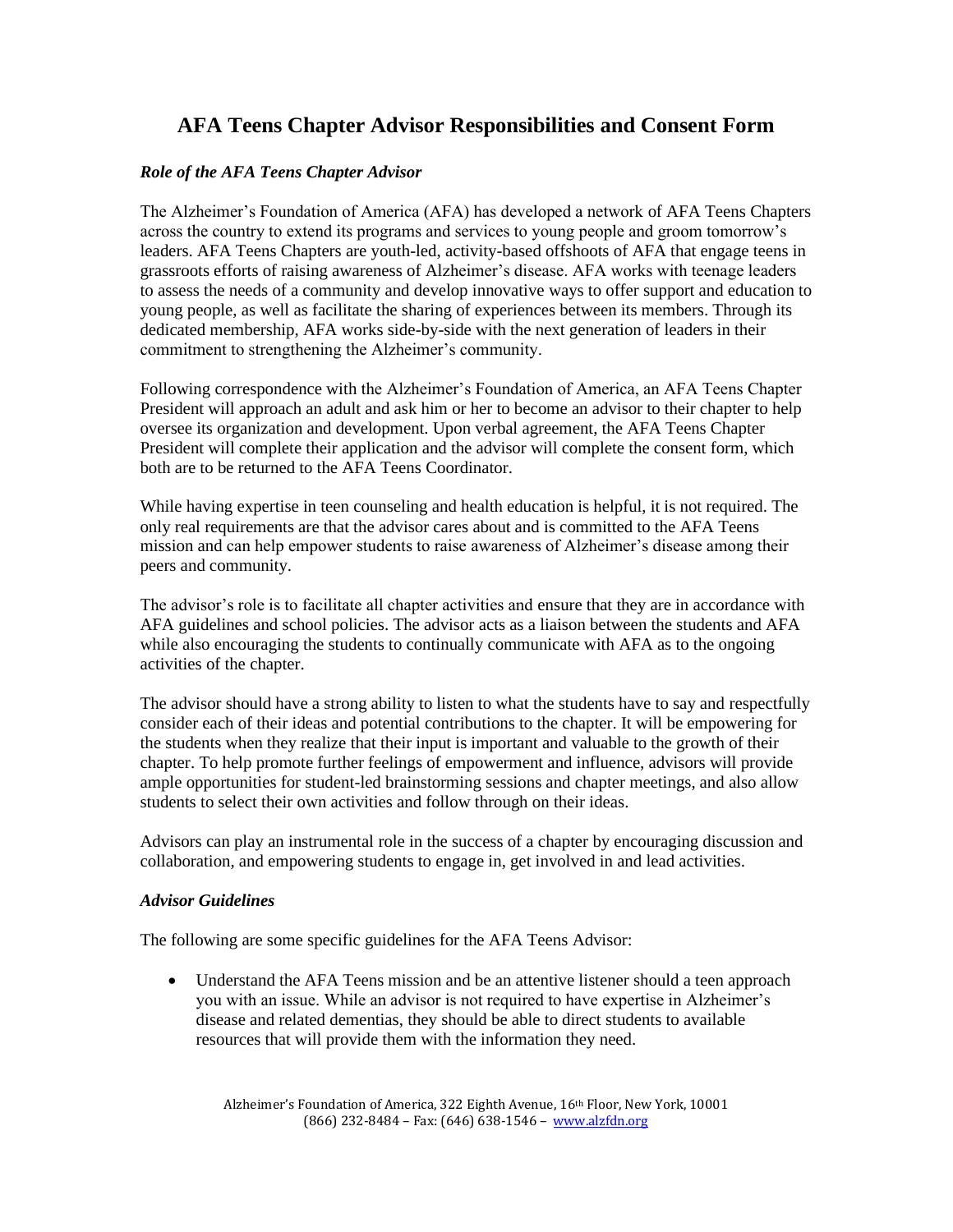# **AFA Teens Chapter Advisor Responsibilities and Consent Form**

### *Role of the AFA Teens Chapter Advisor*

The Alzheimer's Foundation of America (AFA) has developed a network of AFA Teens Chapters across the country to extend its programs and services to young people and groom tomorrow's leaders. AFA Teens Chapters are youth-led, activity-based offshoots of AFA that engage teens in grassroots efforts of raising awareness of Alzheimer's disease. AFA works with teenage leaders to assess the needs of a community and develop innovative ways to offer support and education to young people, as well as facilitate the sharing of experiences between its members. Through its dedicated membership, AFA works side-by-side with the next generation of leaders in their commitment to strengthening the Alzheimer's community.

Following correspondence with the Alzheimer's Foundation of America, an AFA Teens Chapter President will approach an adult and ask him or her to become an advisor to their chapter to help oversee its organization and development. Upon verbal agreement, the AFA Teens Chapter President will complete their application and the advisor will complete the consent form, which both are to be returned to the AFA Teens Coordinator.

While having expertise in teen counseling and health education is helpful, it is not required. The only real requirements are that the advisor cares about and is committed to the AFA Teens mission and can help empower students to raise awareness of Alzheimer's disease among their peers and community.

The advisor's role is to facilitate all chapter activities and ensure that they are in accordance with AFA guidelines and school policies. The advisor acts as a liaison between the students and AFA while also encouraging the students to continually communicate with AFA as to the ongoing activities of the chapter.

The advisor should have a strong ability to listen to what the students have to say and respectfully consider each of their ideas and potential contributions to the chapter. It will be empowering for the students when they realize that their input is important and valuable to the growth of their chapter. To help promote further feelings of empowerment and influence, advisors will provide ample opportunities for student-led brainstorming sessions and chapter meetings, and also allow students to select their own activities and follow through on their ideas.

Advisors can play an instrumental role in the success of a chapter by encouraging discussion and collaboration, and empowering students to engage in, get involved in and lead activities.

#### *Advisor Guidelines*

The following are some specific guidelines for the AFA Teens Advisor:

• Understand the AFA Teens mission and be an attentive listener should a teen approach you with an issue. While an advisor is not required to have expertise in Alzheimer's disease and related dementias, they should be able to direct students to available resources that will provide them with the information they need.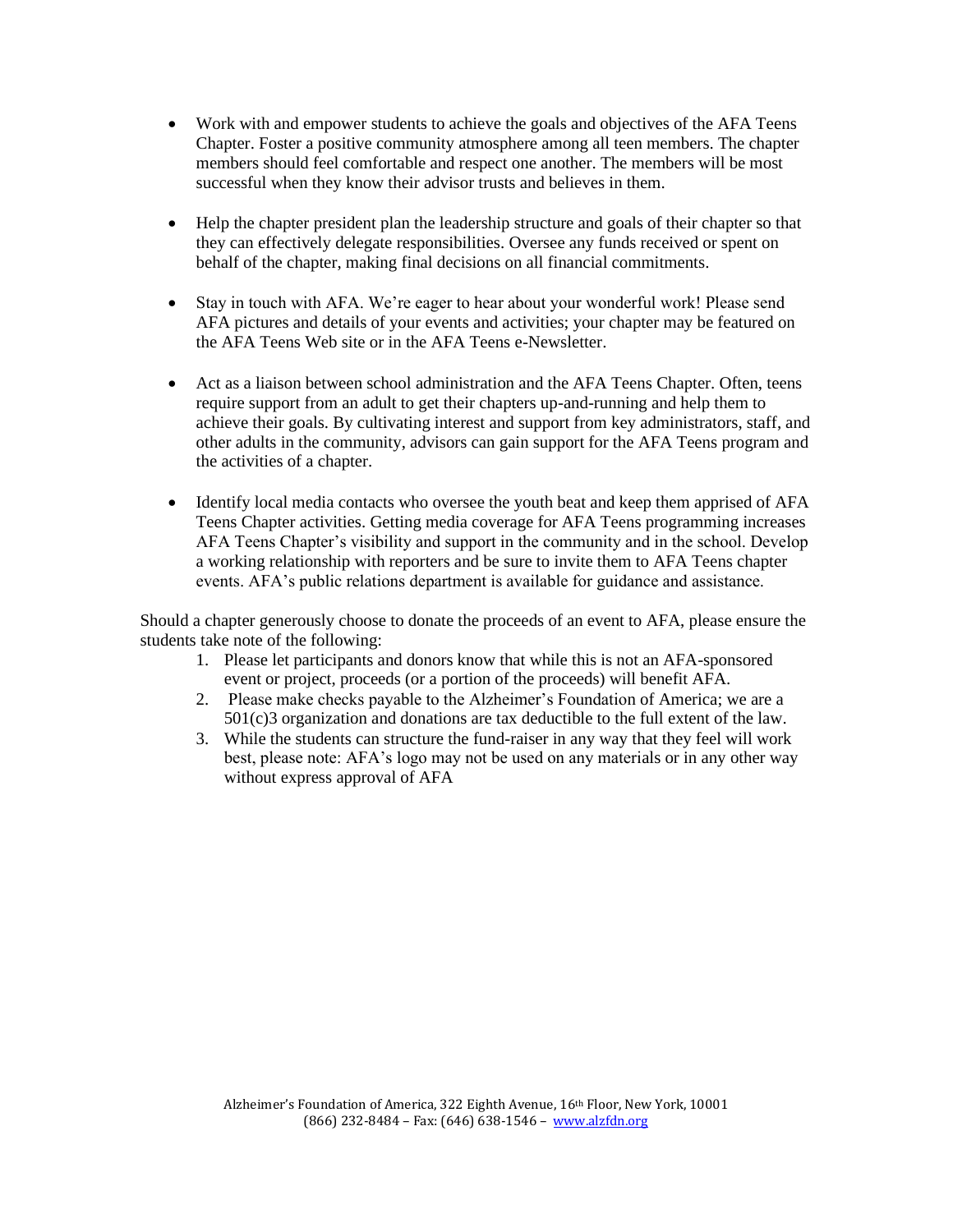- Work with and empower students to achieve the goals and objectives of the AFA Teens Chapter. Foster a positive community atmosphere among all teen members. The chapter members should feel comfortable and respect one another. The members will be most successful when they know their advisor trusts and believes in them.
- Help the chapter president plan the leadership structure and goals of their chapter so that they can effectively delegate responsibilities. Oversee any funds received or spent on behalf of the chapter, making final decisions on all financial commitments.
- Stay in touch with AFA. We're eager to hear about your wonderful work! Please send AFA pictures and details of your events and activities; your chapter may be featured on the AFA Teens Web site or in the AFA Teens e-Newsletter.
- Act as a liaison between school administration and the AFA Teens Chapter. Often, teens require support from an adult to get their chapters up-and-running and help them to achieve their goals. By cultivating interest and support from key administrators, staff, and other adults in the community, advisors can gain support for the AFA Teens program and the activities of a chapter.
- Identify local media contacts who oversee the youth beat and keep them apprised of AFA Teens Chapter activities. Getting media coverage for AFA Teens programming increases AFA Teens Chapter's visibility and support in the community and in the school. Develop a working relationship with reporters and be sure to invite them to AFA Teens chapter events. AFA's public relations department is available for guidance and assistance.

Should a chapter generously choose to donate the proceeds of an event to AFA, please ensure the students take note of the following:

- 1. Please let participants and donors know that while this is not an AFA-sponsored event or project, proceeds (or a portion of the proceeds) will benefit AFA.
- 2. Please make checks payable to the Alzheimer's Foundation of America; we are a 501(c)3 organization and donations are tax deductible to the full extent of the law.
- 3. While the students can structure the fund-raiser in any way that they feel will work best, please note: AFA's logo may not be used on any materials or in any other way without express approval of AFA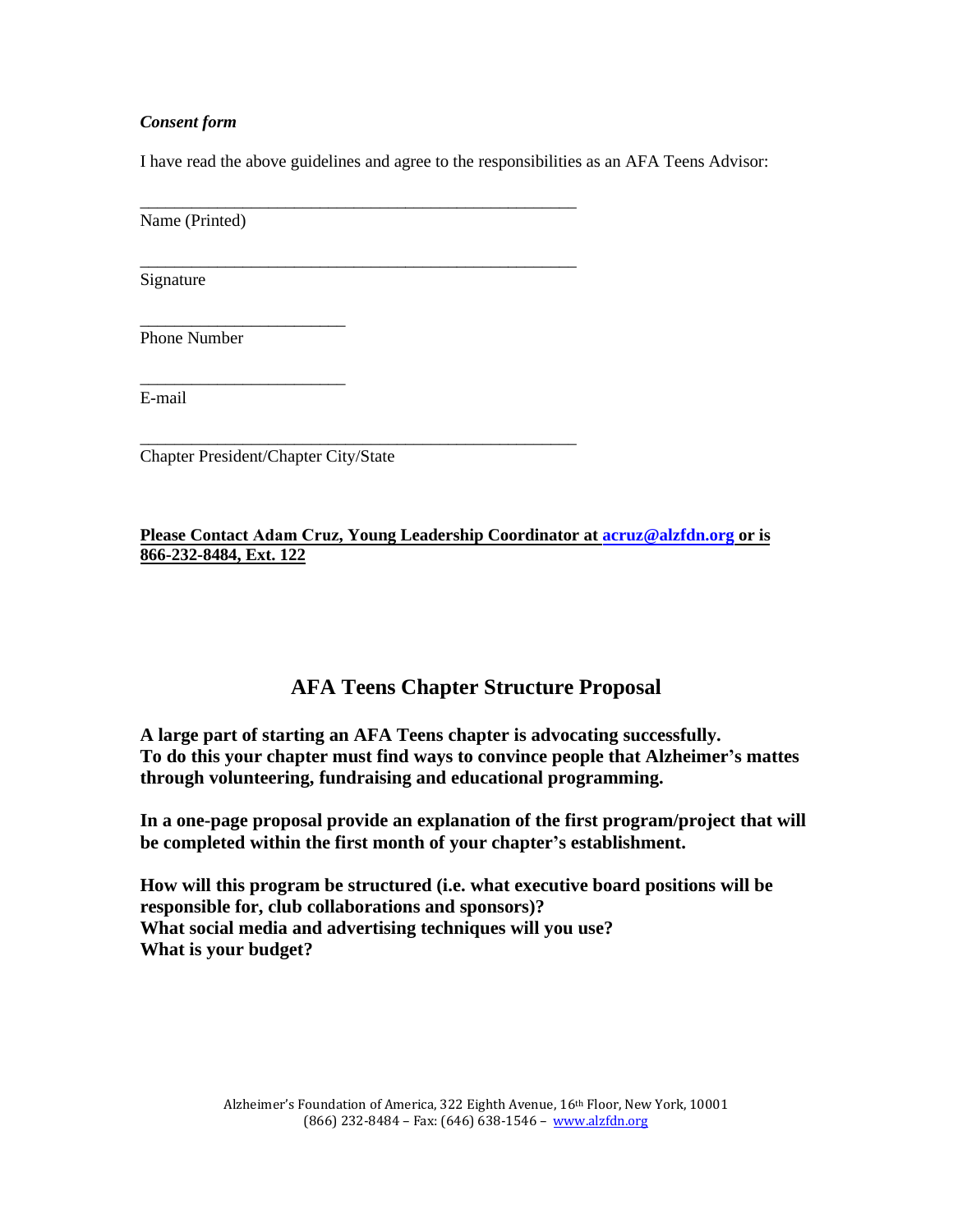#### *Consent form*

I have read the above guidelines and agree to the responsibilities as an AFA Teens Advisor:

\_\_\_\_\_\_\_\_\_\_\_\_\_\_\_\_\_\_\_\_\_\_\_\_\_\_\_\_\_\_\_\_\_\_\_\_\_\_\_\_\_\_\_\_\_\_\_\_\_\_\_

\_\_\_\_\_\_\_\_\_\_\_\_\_\_\_\_\_\_\_\_\_\_\_\_\_\_\_\_\_\_\_\_\_\_\_\_\_\_\_\_\_\_\_\_\_\_\_\_\_\_\_

Name (Printed)

Signature

Phone Number

E-mail

\_\_\_\_\_\_\_\_\_\_\_\_\_\_\_\_\_\_\_\_\_\_\_\_\_\_\_\_\_\_\_\_\_\_\_\_\_\_\_\_\_\_\_\_\_\_\_\_\_\_\_ Chapter President/Chapter City/State

\_\_\_\_\_\_\_\_\_\_\_\_\_\_\_\_\_\_\_\_\_\_\_\_

\_\_\_\_\_\_\_\_\_\_\_\_\_\_\_\_\_\_\_\_\_\_\_\_

**Please Contact Adam Cruz, Young Leadership Coordinator at [acruz@alzfdn.org](mailto:acruz@alzfdn.org) or is 866-232-8484, Ext. 122**

# **AFA Teens Chapter Structure Proposal**

**A large part of starting an AFA Teens chapter is advocating successfully. To do this your chapter must find ways to convince people that Alzheimer's mattes through volunteering, fundraising and educational programming.** 

**In a one-page proposal provide an explanation of the first program/project that will be completed within the first month of your chapter's establishment.**

**How will this program be structured (i.e. what executive board positions will be responsible for, club collaborations and sponsors)? What social media and advertising techniques will you use? What is your budget?**